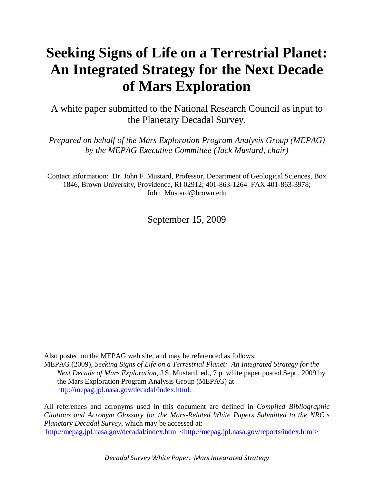# **Seeking Signs of Life on a Terrestrial Planet: An Integrated Strategy for the Next Decade of Mars Exploration**

A white paper submitted to the National Research Council as input to the Planetary Decadal Survey.

*Prepared on behalf of the Mars Exploration Program Analysis Group (MEPAG) by the MEPAG Executive Committee (Jack Mustard, chair)* 

Contact information: Dr. John F. Mustard, Professor, Department of Geological Sciences, Box 1846, Brown University, Providence, RI 02912; 401-863-1264 FAX 401-863-3978; John\_Mustard@brown.edu

September 15, 2009

Also posted on the MEPAG web site, and may be referenced as follows:

MEPAG (2009), *Seeking Signs of Life on a Terrestrial Planet: An Integrated Strategy for the Next Decade of Mars Exploration*, J.S. Mustard, ed., 7 p. white paper posted Sept., 2009 by the Mars Exploration Program Analysis Group (MEPAG) at http://mepag.jpl.nasa.gov/decadal/index.html.

All references and acronyms used in this document are defined in *Compiled Bibliographic Citations and Acronym Glossary for the Mars-Related White Papers Submitted to the NRC's Planetary Decadal Survey*, which may be accessed at: http://mepag.jpl.nasa.gov/decadal/index.html <http://mepag.jpl.nasa.gov/reports/index.html>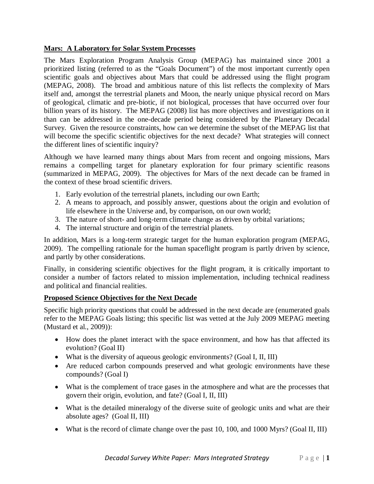## **Mars: A Laboratory for Solar System Processes**

The Mars Exploration Program Analysis Group (MEPAG) has maintained since 2001 a prioritized listing (referred to as the "Goals Document") of the most important currently open scientific goals and objectives about Mars that could be addressed using the flight program (MEPAG, 2008). The broad and ambitious nature of this list reflects the complexity of Mars itself and, amongst the terrestrial planets and Moon, the nearly unique physical record on Mars of geological, climatic and pre-biotic, if not biological, processes that have occurred over four billion years of its history. The MEPAG (2008) list has more objectives and investigations on it than can be addressed in the one-decade period being considered by the Planetary Decadal Survey. Given the resource constraints, how can we determine the subset of the MEPAG list that will become the specific scientific objectives for the next decade? What strategies will connect the different lines of scientific inquiry?

Although we have learned many things about Mars from recent and ongoing missions, Mars remains a compelling target for planetary exploration for four primary scientific reasons (summarized in MEPAG, 2009). The objectives for Mars of the next decade can be framed in the context of these broad scientific drivers.

- 1. Early evolution of the terrestrial planets, including our own Earth;
- 2. A means to approach, and possibly answer, questions about the origin and evolution of life elsewhere in the Universe and, by comparison, on our own world;
- 3. The nature of short- and long-term climate change as driven by orbital variations;
- 4. The internal structure and origin of the terrestrial planets.

In addition, Mars is a long-term strategic target for the human exploration program (MEPAG, 2009). The compelling rationale for the human spaceflight program is partly driven by science, and partly by other considerations.

Finally, in considering scientific objectives for the flight program, it is critically important to consider a number of factors related to mission implementation, including technical readiness and political and financial realities.

## **Proposed Science Objectives for the Next Decade**

Specific high priority questions that could be addressed in the next decade are (enumerated goals refer to the MEPAG Goals listing; this specific list was vetted at the July 2009 MEPAG meeting (Mustard et al., 2009)):

- How does the planet interact with the space environment, and how has that affected its evolution? (Goal II)
- What is the diversity of aqueous geologic environments? (Goal I, II, III)
- Are reduced carbon compounds preserved and what geologic environments have these compounds? (Goal I)
- What is the complement of trace gases in the atmosphere and what are the processes that govern their origin, evolution, and fate? (Goal I, II, III)
- What is the detailed mineralogy of the diverse suite of geologic units and what are their absolute ages? (Goal II, III)
- What is the record of climate change over the past 10, 100, and 1000 Myrs? (Goal II, III)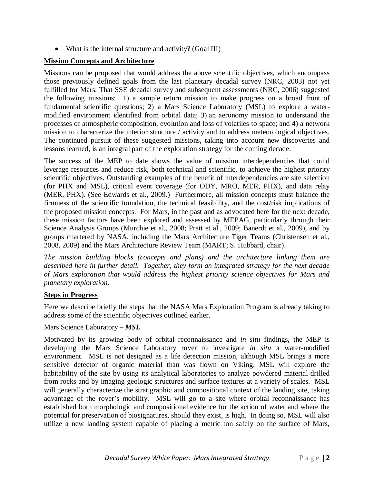• What is the internal structure and activity? (Goal III)

## **Mission Concepts and Architecture**

Missions can be proposed that would address the above scientific objectives, which encompass those previously defined goals from the last planetary decadal survey (NRC, 2003) not yet fulfilled for Mars. That SSE decadal survey and subsequent assessments (NRC, 2006) suggested the following missions: 1) a sample return mission to make progress on a broad front of fundamental scientific questions; 2) a Mars Science Laboratory (MSL) to explore a watermodified environment identified from orbital data; 3) an aeronomy mission to understand the processes of atmospheric composition, evolution and loss of volatiles to space; and 4) a network mission to characterize the interior structure / activity and to address meteorological objectives. The continued pursuit of these suggested missions, taking into account new discoveries and lessons learned, is an integral part of the exploration strategy for the coming decade.

The success of the MEP to date shows the value of mission interdependencies that could leverage resources and reduce risk, both technical and scientific, to achieve the highest priority scientific objectives. Outstanding examples of the benefit of interdependencies are site selection (for PHX and MSL), critical event coverage (for ODY, MRO, MER, PHX), and data relay (MER, PHX). (See Edwards et al., 2009.) Furthermore, all mission concepts must balance the firmness of the scientific foundation, the technical feasibility, and the cost/risk implications of the proposed mission concepts. For Mars, in the past and as advocated here for the next decade, these mission factors have been explored and assessed by MEPAG, particularly through their Science Analysis Groups (Murchie et al., 2008; Pratt et al., 2009; Banerdt et al., 2009), and by groups chartered by NASA, including the Mars Architecture Tiger Teams (Christensen et al., 2008, 2009) and the Mars Architecture Review Team (MART; S. Hubbard, chair).

*The mission building blocks (concepts and plans) and the architecture linking them are described here in further detail. Together, they form an integrated strategy for the next decade of Mars exploration that would address the highest priority science objectives for Mars and planetary exploration.*

## **Steps in Progress**

Here we describe briefly the steps that the NASA Mars Exploration Program is already taking to address some of the scientific objectives outlined earlier.

## Mars Science Laboratory *– MSL*

Motivated by its growing body of orbital reconnaissance and *in situ* findings, the MEP is developing the Mars Science Laboratory rover to investigate *in situ* a water-modified environment. MSL is not designed as a life detection mission, although MSL brings a more sensitive detector of organic material than was flown on Viking. MSL will explore the habitability of the site by using its analytical laboratories to analyze powdered material drilled from rocks and by imaging geologic structures and surface textures at a variety of scales. MSL will generally characterize the stratigraphic and compositional context of the landing site, taking advantage of the rover's mobility. MSL will go to a site where orbital reconnaissance has established both morphologic and compositional evidence for the action of water and where the potential for preservation of biosignatures, should they exist, is high. In doing so, MSL will also utilize a new landing system capable of placing a metric ton safely on the surface of Mars,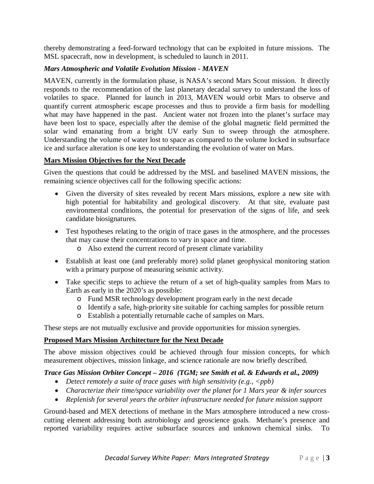thereby demonstrating a feed-forward technology that can be exploited in future missions. The MSL spacecraft, now in development, is scheduled to launch in 2011.

## *Mars Atmospheric and Volatile Evolution Mission - MAVEN*

MAVEN, currently in the formulation phase, is NASA's second Mars Scout mission. It directly responds to the recommendation of the last planetary decadal survey to understand the loss of volatiles to space. Planned for launch in 2013, MAVEN would orbit Mars to observe and quantify current atmospheric escape processes and thus to provide a firm basis for modelling what may have happened in the past. Ancient water not frozen into the planet's surface may have been lost to space, especially after the demise of the global magnetic field permitted the solar wind emanating from a bright UV early Sun to sweep through the atmosphere. Understanding the volume of water lost to space as compared to the volume locked in subsurface ice and surface alteration is one key to understanding the evolution of water on Mars.

#### **Mars Mission Objectives for the Next Decade**

Given the questions that could be addressed by the MSL and baselined MAVEN missions, the remaining science objectives call for the following specific actions:

- Given the diversity of sites revealed by recent Mars missions, explore a new site with high potential for habitability and geological discovery. At that site, evaluate past environmental conditions, the potential for preservation of the signs of life, and seek candidate biosignatures.
- Test hypotheses relating to the origin of trace gases in the atmosphere, and the processes that may cause their concentrations to vary in space and time.
	- o Also extend the current record of present climate variability
- Establish at least one (and preferably more) solid planet geophysical monitoring station with a primary purpose of measuring seismic activity.
- Take specific steps to achieve the return of a set of high-quality samples from Mars to Earth as early in the 2020's as possible:
	- o Fund MSR technology development program early in the next decade
	- o Identify a safe, high-priority site suitable for caching samples for possible return
	- o Establish a potentially returnable cache of samples on Mars.

These steps are not mutually exclusive and provide opportunities for mission synergies.

## **Proposed Mars Mission Architecture for the Next Decade**

The above mission objectives could be achieved through four mission concepts, for which measurement objectives, mission linkage, and science rationale are now briefly described.

## *Trace Gas Mission Orbiter Concept – 2016 (TGM; see Smith et al. & Edwards et al., 2009)*

- Detect remotely a suite of trace gases with high sensitivity (e.g., <ppb)
- *Characterize their time/space variability over the planet for 1 Mars year & infer sources*
- *Replenish for several years the orbiter infrastructure needed for future mission support*

Ground-based and MEX detections of methane in the Mars atmosphere introduced a new crosscutting element addressing both astrobiology and geoscience goals. Methane's presence and reported variability requires active subsurface sources and unknown chemical sinks. To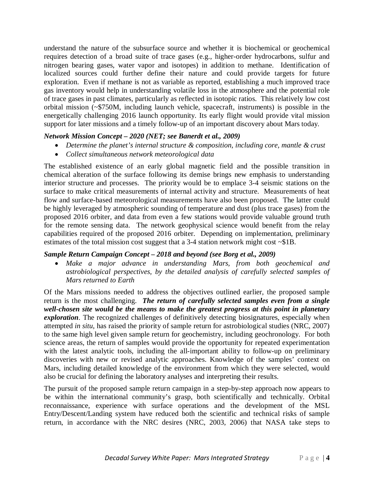understand the nature of the subsurface source and whether it is biochemical or geochemical requires detection of a broad suite of trace gases (e.g., higher-order hydrocarbons, sulfur and nitrogen bearing gases, water vapor and isotopes) in addition to methane. Identification of localized sources could further define their nature and could provide targets for future exploration. Even if methane is not as variable as reported, establishing a much improved trace gas inventory would help in understanding volatile loss in the atmosphere and the potential role of trace gases in past climates, particularly as reflected in isotopic ratios. This relatively low cost orbital mission (~\$750M, including launch vehicle, spacecraft, instruments) is possible in the energetically challenging 2016 launch opportunity. Its early flight would provide vital mission support for later missions and a timely follow-up of an important discovery about Mars today.

## *Network Mission Concept – 2020 (NET; see Banerdt et al., 2009)*

- *Determine the planet's internal structure & composition, including core, mantle & crust*
- *Collect simultaneous network meteorological data*

The established existence of an early global magnetic field and the possible transition in chemical alteration of the surface following its demise brings new emphasis to understanding interior structure and processes. The priority would be to emplace 3-4 seismic stations on the surface to make critical measurements of internal activity and structure. Measurements of heat flow and surface-based meteorological measurements have also been proposed. The latter could be highly leveraged by atmospheric sounding of temperature and dust (plus trace gases) from the proposed 2016 orbiter, and data from even a few stations would provide valuable ground truth for the remote sensing data. The network geophysical science would benefit from the relay capabilities required of the proposed 2016 orbiter. Depending on implementation, preliminary estimates of the total mission cost suggest that a 3-4 station network might cost ~\$1B.

#### *Sample Return Campaign Concept – 2018 and beyond (see Borg et al., 2009)*

• *Make a major advance in understanding Mars, from both geochemical and astrobiological perspectives, by the detailed analysis of carefully selected samples of Mars returned to Earth* 

Of the Mars missions needed to address the objectives outlined earlier, the proposed sample return is the most challenging. *The return of carefully selected samples even from a single well-chosen site would be the means to make the greatest progress at this point in planetary exploration*. The recognized challenges of definitively detecting biosignatures, especially when attempted *in situ*, has raised the priority of sample return for astrobiological studies (NRC, 2007) to the same high level given sample return for geochemistry, including geochronology. For both science areas, the return of samples would provide the opportunity for repeated experimentation with the latest analytic tools, including the all-important ability to follow-up on preliminary discoveries with new or revised analytic approaches. Knowledge of the samples' context on Mars, including detailed knowledge of the environment from which they were selected, would also be crucial for defining the laboratory analyses and interpreting their results.

The pursuit of the proposed sample return campaign in a step-by-step approach now appears to be within the international community's grasp, both scientifically and technically. Orbital reconnaissance, experience with surface operations and the development of the MSL Entry/Descent/Landing system have reduced both the scientific and technical risks of sample return, in accordance with the NRC desires (NRC, 2003, 2006) that NASA take steps to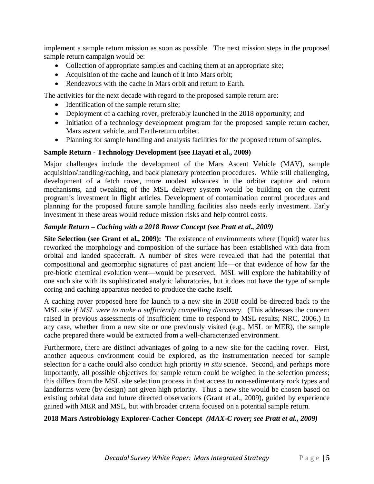implement a sample return mission as soon as possible. The next mission steps in the proposed sample return campaign would be:

- Collection of appropriate samples and caching them at an appropriate site;
- Acquisition of the cache and launch of it into Mars orbit:
- Rendezvous with the cache in Mars orbit and return to Earth.

The activities for the next decade with regard to the proposed sample return are:

- Identification of the sample return site;
- Deployment of a caching rover, preferably launched in the 2018 opportunity; and
- Initiation of a technology development program for the proposed sample return cacher, Mars ascent vehicle, and Earth-return orbiter.
- Planning for sample handling and analysis facilities for the proposed return of samples.

## **Sample Return - Technology Development (see Hayati et al., 2009)**

Major challenges include the development of the Mars Ascent Vehicle (MAV), sample acquisition/handling/caching, and back planetary protection procedures. While still challenging, development of a fetch rover, more modest advances in the orbiter capture and return mechanisms, and tweaking of the MSL delivery system would be building on the current program's investment in flight articles. Development of contamination control procedures and planning for the proposed future sample handling facilities also needs early investment. Early investment in these areas would reduce mission risks and help control costs.

## *Sample Return – Caching with a 2018 Rover Concept (see Pratt et al., 2009)*

**Site Selection (see Grant et al., 2009):** The existence of environments where (liquid) water has reworked the morphology and composition of the surface has been established with data from orbital and landed spacecraft. A number of sites were revealed that had the potential that compositional and geomorphic signatures of past ancient life—or that evidence of how far the pre-biotic chemical evolution went—would be preserved. MSL will explore the habitability of one such site with its sophisticated analytic laboratories, but it does not have the type of sample coring and caching apparatus needed to produce the cache itself.

A caching rover proposed here for launch to a new site in 2018 could be directed back to the MSL site *if MSL were to make a sufficiently compelling discovery*. (This addresses the concern raised in previous assessments of insufficient time to respond to MSL results; NRC, 2006.) In any case, whether from a new site or one previously visited (e.g., MSL or MER), the sample cache prepared there would be extracted from a well-characterized environment.

Furthermore, there are distinct advantages of going to a new site for the caching rover. First, another aqueous environment could be explored, as the instrumentation needed for sample selection for a cache could also conduct high priority *in situ* science. Second, and perhaps more importantly, all possible objectives for sample return could be weighed in the selection process; this differs from the MSL site selection process in that access to non-sedimentary rock types and landforms were (by design) not given high priority. Thus a new site would be chosen based on existing orbital data and future directed observations (Grant et al., 2009), guided by experience gained with MER and MSL, but with broader criteria focused on a potential sample return.

# **2018 Mars Astrobiology Explorer-Cacher Concept** *(MAX-C rover; see Pratt et al., 2009)*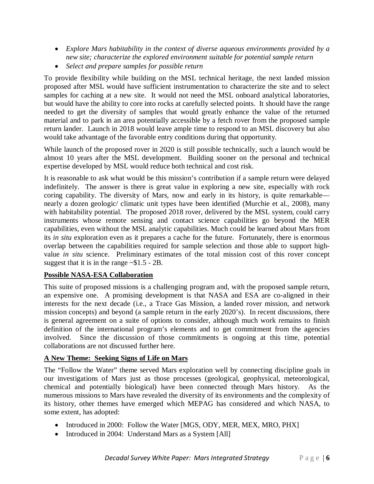- *Explore Mars habitability in the context of diverse aqueous environments provided by a new site; characterize the explored environment suitable for potential sample return*
- *Select and prepare samples for possible return*

To provide flexibility while building on the MSL technical heritage, the next landed mission proposed after MSL would have sufficient instrumentation to characterize the site and to select samples for caching at a new site. It would not need the MSL onboard analytical laboratories, but would have the ability to core into rocks at carefully selected points. It should have the range needed to get the diversity of samples that would greatly enhance the value of the returned material and to park in an area potentially accessible by a fetch rover from the proposed sample return lander. Launch in 2018 would leave ample time to respond to an MSL discovery but also would take advantage of the favorable entry conditions during that opportunity.

While launch of the proposed rover in 2020 is still possible technically, such a launch would be almost 10 years after the MSL development. Building sooner on the personal and technical expertise developed by MSL would reduce both technical and cost risk.

It is reasonable to ask what would be this mission's contribution if a sample return were delayed indefinitely. The answer is there is great value in exploring a new site, especially with rock coring capability. The diversity of Mars, now and early in its history, is quite remarkable nearly a dozen geologic/ climatic unit types have been identified (Murchie et al., 2008), many with habitability potential. The proposed 2018 rover, delivered by the MSL system, could carry instruments whose remote sensing and contact science capabilities go beyond the MER capabilities, even without the MSL analytic capabilities. Much could be learned about Mars from its *in situ* exploration even as it prepares a cache for the future. Fortunately, there is enormous overlap between the capabilities required for sample selection and those able to support highvalue *in situ* science. Preliminary estimates of the total mission cost of this rover concept suggest that it is in the range  $\sim $1.5 - 2B$ .

## **Possible NASA-ESA Collaboration**

This suite of proposed missions is a challenging program and, with the proposed sample return, an expensive one. A promising development is that NASA and ESA are co-aligned in their interests for the next decade (i.e., a Trace Gas Mission, a landed rover mission, and network mission concepts) and beyond (a sample return in the early 2020's). In recent discussions, there is general agreement on a suite of options to consider, although much work remains to finish definition of the international program's elements and to get commitment from the agencies involved. Since the discussion of those commitments is ongoing at this time, potential collaborations are not discussed further here.

## **A New Theme: Seeking Signs of Life on Mars**

The "Follow the Water" theme served Mars exploration well by connecting discipline goals in our investigations of Mars just as those processes (geological, geophysical, meteorological, chemical and potentially biological) have been connected through Mars history. As the numerous missions to Mars have revealed the diversity of its environments and the complexity of its history, other themes have emerged which MEPAG has considered and which NASA, to some extent, has adopted:

- Introduced in 2000: Follow the Water [MGS, ODY, MER, MEX, MRO, PHX]
- Introduced in 2004: Understand Mars as a System [All]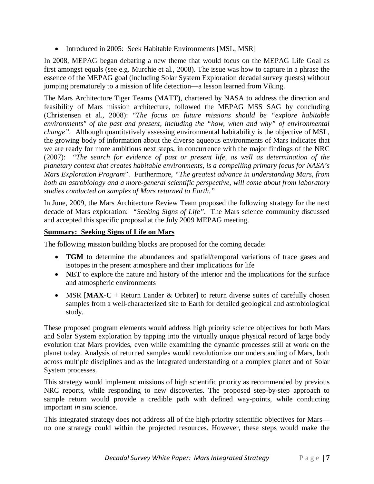• Introduced in 2005: Seek Habitable Environments [MSL, MSR]

In 2008, MEPAG began debating a new theme that would focus on the MEPAG Life Goal as first amongst equals (see e.g. Murchie et al., 2008). The issue was how to capture in a phrase the essence of the MEPAG goal (including Solar System Exploration decadal survey quests) without jumping prematurely to a mission of life detection—a lesson learned from Viking.

The Mars Architecture Tiger Teams (MATT), chartered by NASA to address the direction and feasibility of Mars mission architecture, followed the MEPAG MSS SAG by concluding (Christensen et al., 2008): "*The focus on future missions should be "explore habitable environments" of the past and present, including the "how, when and why" of environmental change".* Although quantitatively assessing environmental habitability is the objective of MSL, the growing body of information about the diverse aqueous environments of Mars indicates that we are ready for more ambitious next steps, in concurrence with the major findings of the NRC (2007): "*The search for evidence of past or present life, as well as determination of the planetary context that creates habitable environments, is a compelling primary focus for NASA's Mars Exploration Program*". Furthermore, *"The greatest advance in understanding Mars, from both an astrobiology and a more-general scientific perspective, will come about from laboratory studies conducted on samples of Mars returned to Earth."*

In June, 2009, the Mars Architecture Review Team proposed the following strategy for the next decade of Mars exploration: *"Seeking Signs of Life"*. The Mars science community discussed and accepted this specific proposal at the July 2009 MEPAG meeting.

## **Summary: Seeking Signs of Life on Mars**

The following mission building blocks are proposed for the coming decade:

- **TGM** to determine the abundances and spatial/temporal variations of trace gases and isotopes in the present atmosphere and their implications for life
- **NET** to explore the nature and history of the interior and the implications for the surface and atmospheric environments
- MSR [MAX-C + Return Lander & Orbiter] to return diverse suites of carefully chosen samples from a well-characterized site to Earth for detailed geological and astrobiological study.

These proposed program elements would address high priority science objectives for both Mars and Solar System exploration by tapping into the virtually unique physical record of large body evolution that Mars provides, even while examining the dynamic processes still at work on the planet today. Analysis of returned samples would revolutionize our understanding of Mars, both across multiple disciplines and as the integrated understanding of a complex planet and of Solar System processes.

This strategy would implement missions of high scientific priority as recommended by previous NRC reports, while responding to new discoveries. The proposed step-by-step approach to sample return would provide a credible path with defined way-points, while conducting important *in situ* science.

This integrated strategy does not address all of the high-priority scientific objectives for Mars no one strategy could within the projected resources. However, these steps would make the